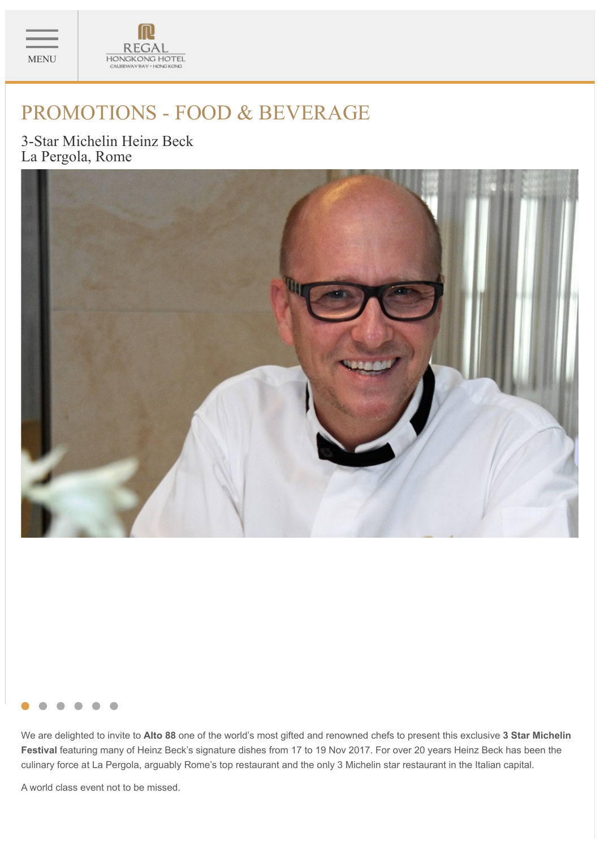



# PROMOTIONS - FOOD & BEVERAGE

3-Star Michelin Heinz Beck La Pergola, Rome





We are delighted to invite to **Alto 88** one of the world's most gifted and renowned chefs to present this exclusive **3 Star Michelin Festival** featuring many of Heinz Beck's signature dishes from 17 to 19 Nov 2017. For over 20 years Heinz Beck has been the culinary force at La Pergola, arguably Rome's top restaurant and the only 3 Michelin star restaurant in the Italian capital.

A world class event not to be missed.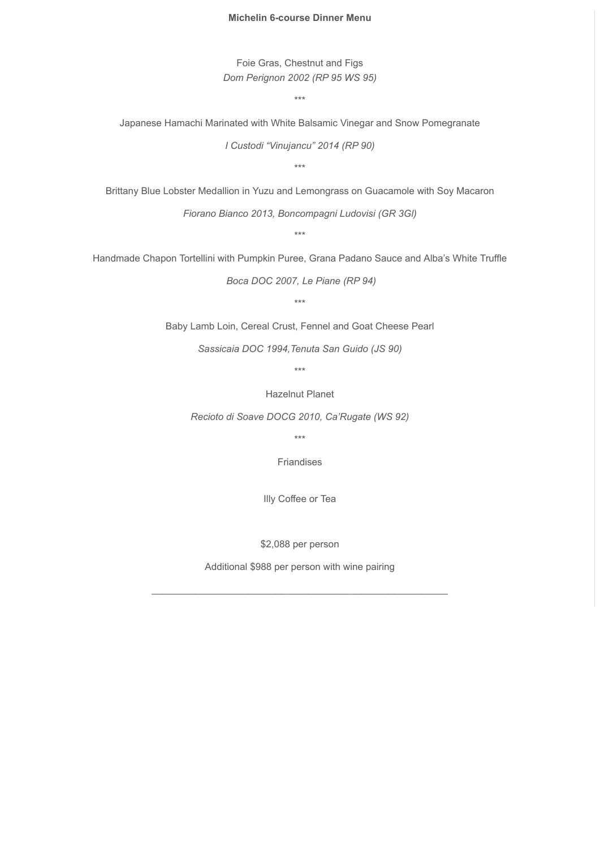### **Michelin 6-course Dinner Menu**

Foie Gras, Chestnut and Figs *Dom Perignon 2002 (RP 95 WS 95)*

\*\*\*

Japanese Hamachi Marinated with White Balsamic Vinegar and Snow Pomegranate

*I Custodi "Vinujancu" 2014 (RP 90)*

\*\*\*

Brittany Blue Lobster Medallion in Yuzu and Lemongrass on Guacamole with Soy Macaron

*Fiorano Bianco 2013, Boncompagni Ludovisi (GR 3Gl)*

\*\*\*

Handmade Chapon Tortellini with Pumpkin Puree, Grana Padano Sauce and Alba's White Truffle

*Boca DOC 2007, Le Piane (RP 94)*

\*\*\*

Baby Lamb Loin, Cereal Crust, Fennel and Goat Cheese Pearl

*Sassicaia DOC 1994,Tenuta San Guido (JS 90)*

\*\*\*

Hazelnut Planet

*Recioto di Soave DOCG 2010, Ca'Rugate (WS 92)*

\*\*\*

Friandises

Illy Coffee or Tea

\$2,088 per person

Additional \$988 per person with wine pairing

\_\_\_\_\_\_\_\_\_\_\_\_\_\_\_\_\_\_\_\_\_\_\_\_\_\_\_\_\_\_\_\_\_\_\_\_\_\_\_\_\_\_\_\_\_\_\_\_\_\_\_\_\_\_\_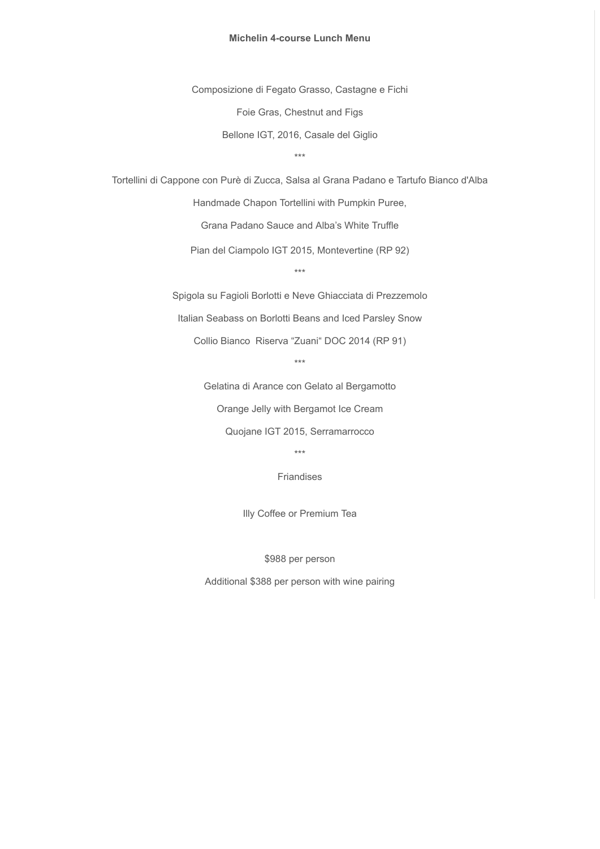### **Michelin 4-course Lunch Menu**

Composizione di Fegato Grasso, Castagne e Fichi Foie Gras, Chestnut and Figs Bellone IGT, 2016, Casale del Giglio

\*\*\*

Tortellini di Cappone con Purè di Zucca, Salsa al Grana Padano e Tartufo Bianco d'Alba

Handmade Chapon Tortellini with Pumpkin Puree,

Grana Padano Sauce and Alba's White Truffle

Pian del Ciampolo IGT 2015, Montevertine (RP 92)

\*\*\*

Spigola su Fagioli Borlotti e Neve Ghiacciata di Prezzemolo

Italian Seabass on Borlotti Beans and Iced Parsley Snow

Collio Bianco Riserva "Zuani" DOC 2014 (RP 91)

\*\*\*

Gelatina di Arance con Gelato al Bergamotto

Orange Jelly with Bergamot Ice Cream

Quojane IGT 2015, Serramarrocco

\*\*\*

Friandises

Illy Coffee or Premium Tea

\$988 per person

Additional \$388 per person with wine pairing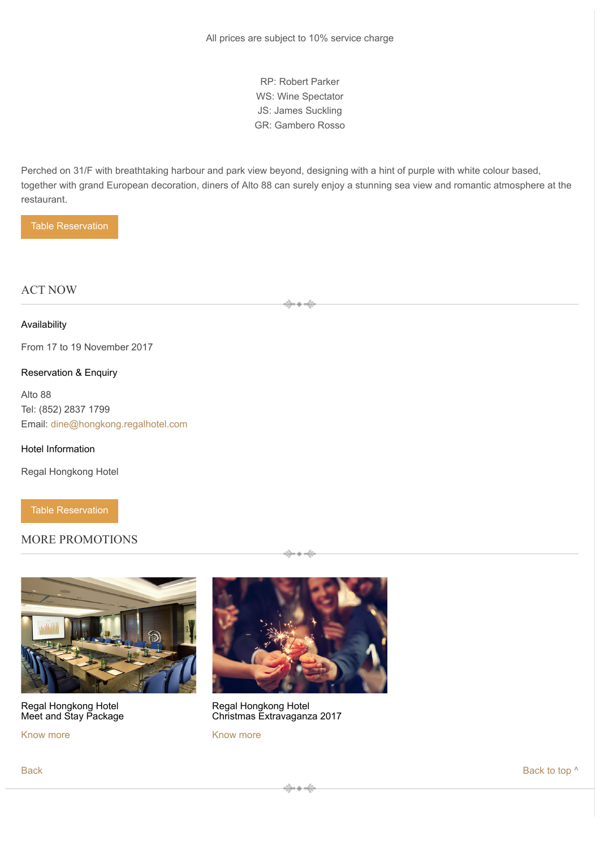RP: Robert Parker WS: Wine Spectator JS: James Suckling GR: Gambero Rosso

Perched on 31/F with breathtaking harbour and park view beyond, designing with a hint of purple with white colour based, together with grand European decoration, diners of Alto 88 can surely enjoy a stunning sea view and romantic atmosphere at the restaurant.

Table Reservation

## ACT NOW

#### Availability

From 17 to 19 November 2017

## Reservation & Enquiry

Alto 88 Tel: (852) 2837 1799 Email: dine@hongkong.regalhotel.com

#### Hotel Information

Regal Hongkong Hotel

Table Reservation

# MORE PROMOTIONS



Regal Hongkong Hotel Meet and Stay Package

Know more



Regal Hongkong Hotel Christmas Extravaganza 2017

Know more